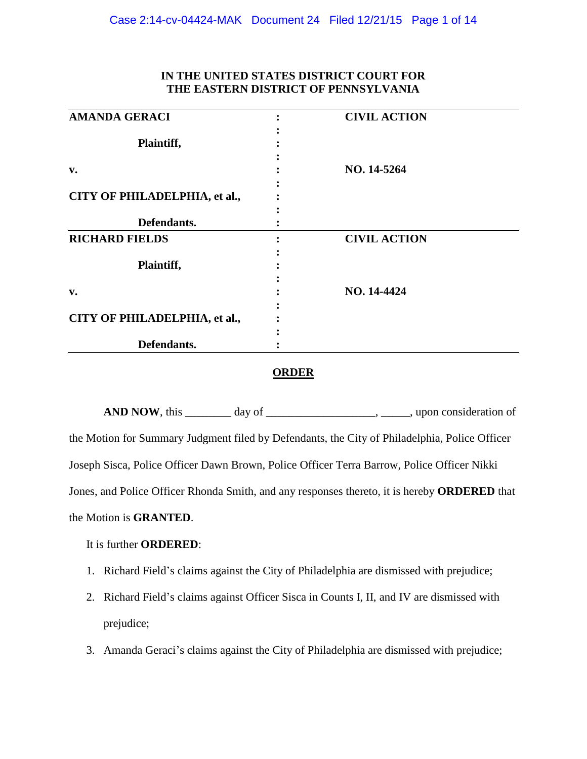| <b>AMANDA GERACI</b>          | <b>CIVIL ACTION</b> |  |
|-------------------------------|---------------------|--|
|                               |                     |  |
| Plaintiff,                    |                     |  |
|                               |                     |  |
| $V_{\bullet}$                 | NO. 14-5264         |  |
|                               |                     |  |
| CITY OF PHILADELPHIA, et al., |                     |  |
|                               |                     |  |
| Defendants.                   |                     |  |
| <b>RICHARD FIELDS</b>         | <b>CIVIL ACTION</b> |  |
|                               |                     |  |
| Plaintiff,                    |                     |  |
|                               |                     |  |
| v.                            | NO. 14-4424         |  |
|                               |                     |  |
| CITY OF PHILADELPHIA, et al., |                     |  |
|                               |                     |  |
| Defendants.                   |                     |  |
|                               |                     |  |

### **ORDER**

AND NOW, this day of day of the same set of the set of the set of the set of the set of the set of the set of the set of the set of the set of the set of the set of the set of the set of the set of the set of the set of th the Motion for Summary Judgment filed by Defendants, the City of Philadelphia, Police Officer Joseph Sisca, Police Officer Dawn Brown, Police Officer Terra Barrow, Police Officer Nikki Jones, and Police Officer Rhonda Smith, and any responses thereto, it is hereby **ORDERED** that the Motion is **GRANTED**.

### It is further **ORDERED**:

- 1. Richard Field's claims against the City of Philadelphia are dismissed with prejudice;
- 2. Richard Field's claims against Officer Sisca in Counts I, II, and IV are dismissed with prejudice;
- 3. Amanda Geraci's claims against the City of Philadelphia are dismissed with prejudice;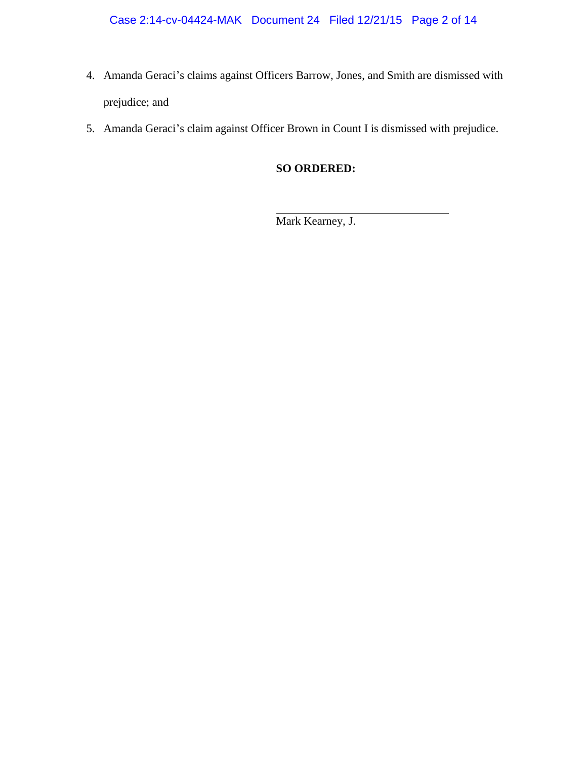- 4. Amanda Geraci's claims against Officers Barrow, Jones, and Smith are dismissed with prejudice; and
- 5. Amanda Geraci's claim against Officer Brown in Count I is dismissed with prejudice.

# **SO ORDERED:**

Mark Kearney, J.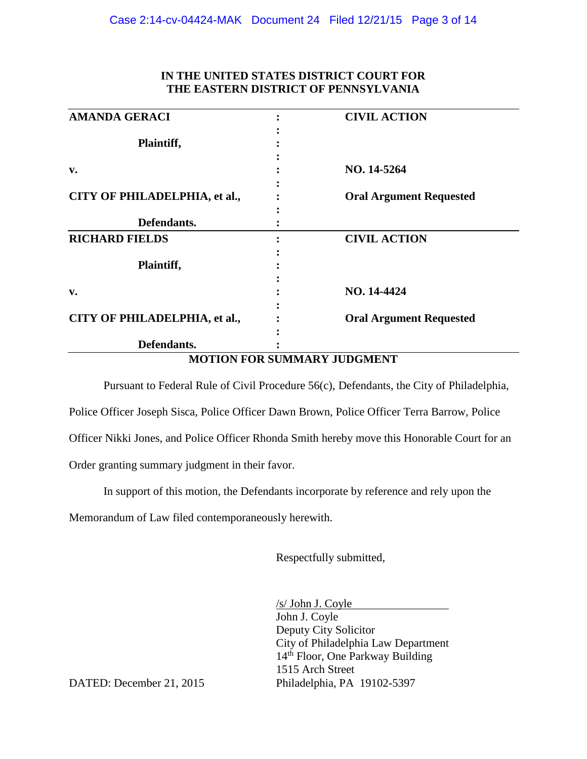| <b>AMANDA GERACI</b>          | <b>CIVIL ACTION</b>            |
|-------------------------------|--------------------------------|
|                               |                                |
| Plaintiff,                    |                                |
|                               |                                |
| v.                            | NO. 14-5264                    |
|                               |                                |
| CITY OF PHILADELPHIA, et al., | <b>Oral Argument Requested</b> |
|                               |                                |
| Defendants.                   |                                |
| <b>RICHARD FIELDS</b>         | <b>CIVIL ACTION</b>            |
|                               |                                |
| Plaintiff,                    |                                |
|                               |                                |
| v.                            | NO. 14-4424                    |
|                               |                                |
| CITY OF PHILADELPHIA, et al., | <b>Oral Argument Requested</b> |
|                               |                                |
| Defendants.                   |                                |

**MOTION FOR SUMMARY JUDGMENT** 

Pursuant to Federal Rule of Civil Procedure 56(c), Defendants, the City of Philadelphia, Police Officer Joseph Sisca, Police Officer Dawn Brown, Police Officer Terra Barrow, Police Officer Nikki Jones, and Police Officer Rhonda Smith hereby move this Honorable Court for an

Order granting summary judgment in their favor.

In support of this motion, the Defendants incorporate by reference and rely upon the

Memorandum of Law filed contemporaneously herewith.

Respectfully submitted,

/s/ John J. Coyle John J. Coyle Deputy City Solicitor City of Philadelphia Law Department 14<sup>th</sup> Floor, One Parkway Building 1515 Arch Street

DATED: December 21, 2015 Philadelphia, PA 19102-5397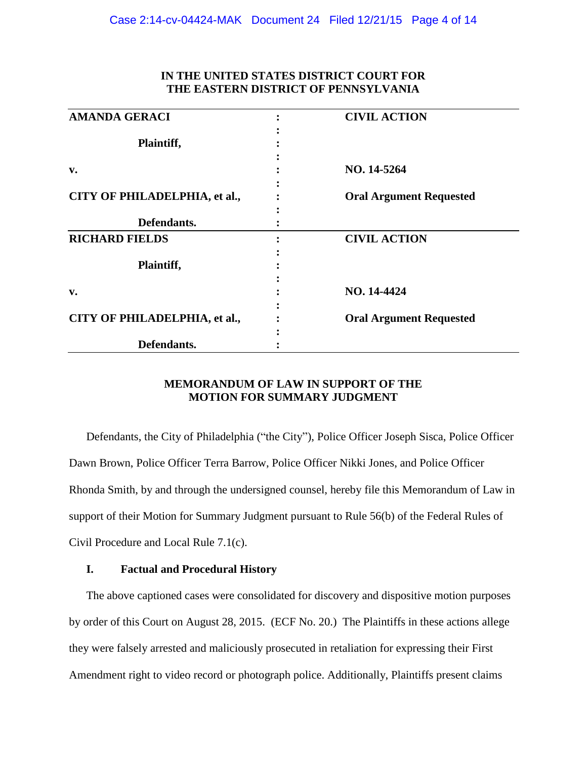| <b>AMANDA GERACI</b>          | <b>CIVIL ACTION</b>            |
|-------------------------------|--------------------------------|
|                               |                                |
| Plaintiff,                    |                                |
|                               |                                |
| v.                            | NO. 14-5264                    |
|                               |                                |
| CITY OF PHILADELPHIA, et al., | <b>Oral Argument Requested</b> |
|                               |                                |
| Defendants.                   |                                |
| <b>RICHARD FIELDS</b>         | <b>CIVIL ACTION</b>            |
|                               |                                |
| Plaintiff,                    |                                |
|                               |                                |
| v.                            | NO. 14-4424                    |
|                               |                                |
| CITY OF PHILADELPHIA, et al., | <b>Oral Argument Requested</b> |
|                               |                                |
| Defendants.                   |                                |

# **MEMORANDUM OF LAW IN SUPPORT OF THE MOTION FOR SUMMARY JUDGMENT**

Defendants, the City of Philadelphia ("the City"), Police Officer Joseph Sisca, Police Officer Dawn Brown, Police Officer Terra Barrow, Police Officer Nikki Jones, and Police Officer Rhonda Smith, by and through the undersigned counsel, hereby file this Memorandum of Law in support of their Motion for Summary Judgment pursuant to Rule 56(b) of the Federal Rules of Civil Procedure and Local Rule 7.1(c).

### **I. Factual and Procedural History**

The above captioned cases were consolidated for discovery and dispositive motion purposes by order of this Court on August 28, 2015. (ECF No. 20.) The Plaintiffs in these actions allege they were falsely arrested and maliciously prosecuted in retaliation for expressing their First Amendment right to video record or photograph police. Additionally, Plaintiffs present claims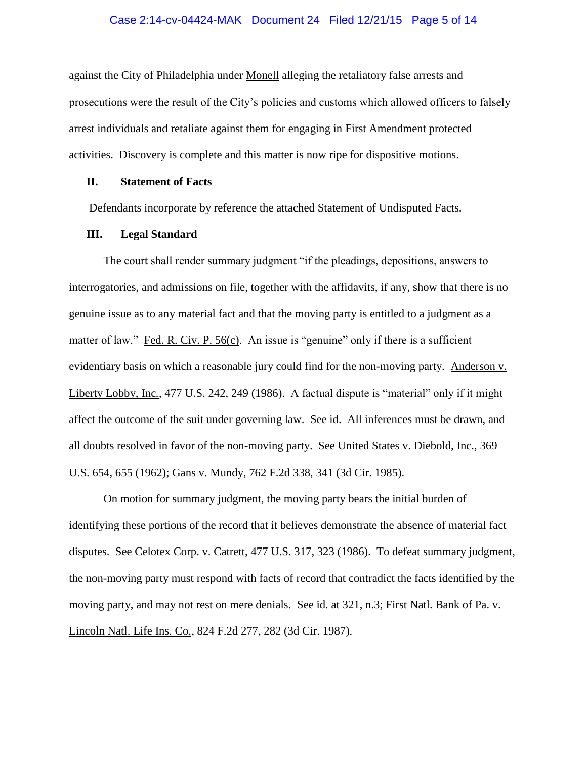#### Case 2:14-cv-04424-MAK Document 24 Filed 12/21/15 Page 5 of 14

against the City of Philadelphia under Monell alleging the retaliatory false arrests and prosecutions were the result of the City's policies and customs which allowed officers to falsely arrest individuals and retaliate against them for engaging in First Amendment protected activities. Discovery is complete and this matter is now ripe for dispositive motions.

### **II. Statement of Facts**

Defendants incorporate by reference the attached Statement of Undisputed Facts.

### **III. Legal Standard**

The court shall render summary judgment "if the pleadings, depositions, answers to interrogatories, and admissions on file, together with the affidavits, if any, show that there is no genuine issue as to any material fact and that the moving party is entitled to a judgment as a matter of law." Fed. R. Civ. P. 56(c). An issue is "genuine" only if there is a sufficient evidentiary basis on which a reasonable jury could find for the non-moving party. Anderson v. Liberty Lobby, Inc*.*, 477 U.S. 242, 249 (1986). A factual dispute is "material" only if it might affect the outcome of the suit under governing law. See id. All inferences must be drawn, and all doubts resolved in favor of the non-moving party. See United States v. Diebold, Inc., 369 U.S. 654, 655 (1962); Gans v. Mundy, 762 F.2d 338, 341 (3d Cir. 1985).

On motion for summary judgment, the moving party bears the initial burden of identifying these portions of the record that it believes demonstrate the absence of material fact disputes. See Celotex Corp. v. Catrett, 477 U.S. 317, 323 (1986). To defeat summary judgment, the non-moving party must respond with facts of record that contradict the facts identified by the moving party, and may not rest on mere denials. See id. at 321, n.3; First Natl. Bank of Pa. v. Lincoln Natl. Life Ins. Co., 824 F.2d 277, 282 (3d Cir. 1987).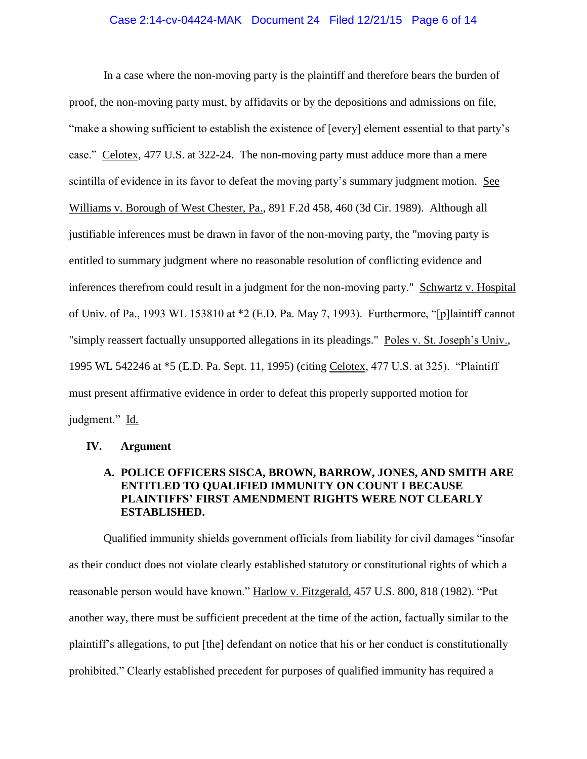#### Case 2:14-cv-04424-MAK Document 24 Filed 12/21/15 Page 6 of 14

In a case where the non-moving party is the plaintiff and therefore bears the burden of proof, the non-moving party must, by affidavits or by the depositions and admissions on file, "make a showing sufficient to establish the existence of [every] element essential to that party's case." Celotex, 477 U.S. at 322-24. The non-moving party must adduce more than a mere scintilla of evidence in its favor to defeat the moving party's summary judgment motion. See Williams v. Borough of West Chester, Pa., 891 F.2d 458, 460 (3d Cir. 1989). Although all justifiable inferences must be drawn in favor of the non-moving party, the "moving party is entitled to summary judgment where no reasonable resolution of conflicting evidence and inferences therefrom could result in a judgment for the non-moving party." Schwartz v. Hospital of Univ. of Pa., 1993 WL 153810 at \*2 (E.D. Pa. May 7, 1993). Furthermore, "[p]laintiff cannot "simply reassert factually unsupported allegations in its pleadings." Poles v. St. Joseph's Univ., 1995 WL 542246 at \*5 (E.D. Pa. Sept. 11, 1995) (citing Celotex, 477 U.S. at 325). "Plaintiff must present affirmative evidence in order to defeat this properly supported motion for judgment." Id.

### **IV. Argument**

## **A. POLICE OFFICERS SISCA, BROWN, BARROW, JONES, AND SMITH ARE ENTITLED TO QUALIFIED IMMUNITY ON COUNT I BECAUSE PLAINTIFFS' FIRST AMENDMENT RIGHTS WERE NOT CLEARLY ESTABLISHED.**

Qualified immunity shields government officials from liability for civil damages "insofar as their conduct does not violate clearly established statutory or constitutional rights of which a reasonable person would have known." Harlow v. Fitzgerald, 457 U.S. 800, 818 (1982). "Put another way, there must be sufficient precedent at the time of the action, factually similar to the plaintiff's allegations, to put [the] defendant on notice that his or her conduct is constitutionally prohibited." Clearly established precedent for purposes of qualified immunity has required a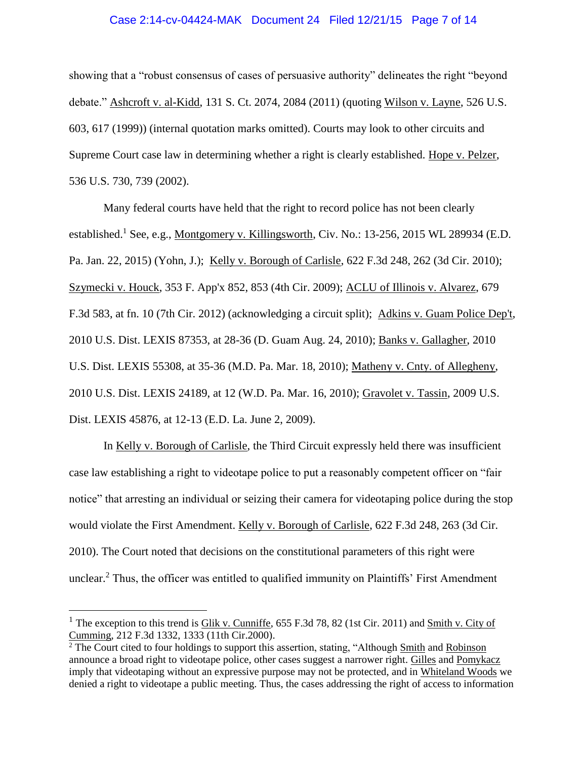#### Case 2:14-cv-04424-MAK Document 24 Filed 12/21/15 Page 7 of 14

showing that a "robust consensus of cases of persuasive authority" delineates the right "beyond debate." Ashcroft v. al-Kidd, 131 S. Ct. 2074, 2084 (2011) (quoting Wilson v. Layne, 526 U.S. 603, 617 (1999)) (internal quotation marks omitted). Courts may look to other circuits and Supreme Court case law in determining whether a right is clearly established. Hope v. Pelzer, 536 U.S. 730, 739 (2002).

Many federal courts have held that the right to record police has not been clearly established.<sup>1</sup> See, e.g., Montgomery v. Killingsworth, Civ. No.: 13-256, 2015 WL 289934 (E.D. Pa. Jan. 22, 2015) (Yohn, J.); Kelly v. Borough of Carlisle, 622 F.3d 248, 262 (3d Cir. 2010); Szymecki v. Houck, 353 F. App'x 852, 853 (4th Cir. 2009); ACLU of Illinois v. Alvarez, 679 F.3d 583, at fn. 10 (7th Cir. 2012) (acknowledging a circuit split); Adkins v. Guam Police Dep't, 2010 U.S. Dist. LEXIS 87353, at 28-36 (D. Guam Aug. 24, 2010); Banks v. Gallagher, 2010 U.S. Dist. LEXIS 55308, at 35-36 (M.D. Pa. Mar. 18, 2010); Matheny v. Cnty. of Allegheny, 2010 U.S. Dist. LEXIS 24189, at 12 (W.D. Pa. Mar. 16, 2010); Gravolet v. Tassin, 2009 U.S. Dist. LEXIS 45876, at 12-13 (E.D. La. June 2, 2009).

In Kelly v. Borough of Carlisle, the Third Circuit expressly held there was insufficient case law establishing a right to videotape police to put a reasonably competent officer on "fair notice" that arresting an individual or seizing their camera for videotaping police during the stop would violate the First Amendment. Kelly v. Borough of Carlisle, 622 F.3d 248, 263 (3d Cir. 2010). The Court noted that decisions on the constitutional parameters of this right were unclear.<sup>2</sup> Thus, the officer was entitled to qualified immunity on Plaintiffs' First Amendment

 $\overline{a}$ 

<sup>&</sup>lt;sup>1</sup> The exception to this trend is Glik v. Cunniffe,  $655$  F.3d 78, 82 (1st Cir. 2011) and Smith v. City of Cumming, 212 F.3d 1332, 1333 (11th Cir.2000).

 $\frac{2}{3}$  The Court cited to four holdings to support this assertion, stating, "Although Smith and Robinson announce a broad right to videotape police, other cases suggest a narrower right. Gilles and Pomykacz imply that videotaping without an expressive purpose may not be protected, and in Whiteland Woods we denied a right to videotape a public meeting. Thus, the cases addressing the right of access to information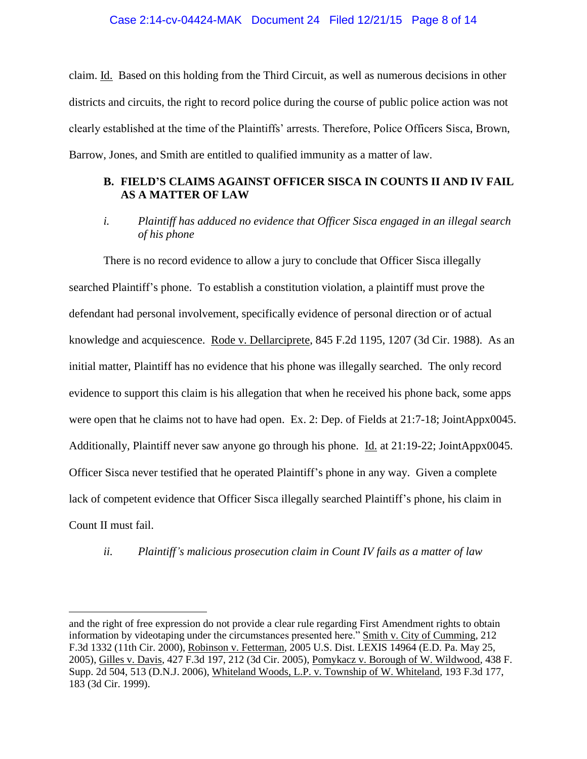### Case 2:14-cv-04424-MAK Document 24 Filed 12/21/15 Page 8 of 14

claim. Id. Based on this holding from the Third Circuit, as well as numerous decisions in other districts and circuits, the right to record police during the course of public police action was not clearly established at the time of the Plaintiffs' arrests. Therefore, Police Officers Sisca, Brown, Barrow, Jones, and Smith are entitled to qualified immunity as a matter of law.

# **B. FIELD'S CLAIMS AGAINST OFFICER SISCA IN COUNTS II AND IV FAIL AS A MATTER OF LAW**

*i. Plaintiff has adduced no evidence that Officer Sisca engaged in an illegal search of his phone*

There is no record evidence to allow a jury to conclude that Officer Sisca illegally searched Plaintiff's phone. To establish a constitution violation, a plaintiff must prove the defendant had personal involvement, specifically evidence of personal direction or of actual knowledge and acquiescence. Rode v. Dellarciprete, 845 F.2d 1195, 1207 (3d Cir. 1988). As an initial matter, Plaintiff has no evidence that his phone was illegally searched. The only record evidence to support this claim is his allegation that when he received his phone back, some apps were open that he claims not to have had open. Ex. 2: Dep. of Fields at 21:7-18; JointAppx0045. Additionally, Plaintiff never saw anyone go through his phone. Id. at 21:19-22; JointAppx0045. Officer Sisca never testified that he operated Plaintiff's phone in any way. Given a complete lack of competent evidence that Officer Sisca illegally searched Plaintiff's phone, his claim in Count II must fail.

*ii. Plaintiff's malicious prosecution claim in Count IV fails as a matter of law*

 $\overline{a}$ 

and the right of free expression do not provide a clear rule regarding First Amendment rights to obtain information by videotaping under the circumstances presented here." Smith v. City of Cumming, 212 F.3d 1332 (11th Cir. 2000), Robinson v. Fetterman, 2005 U.S. Dist. LEXIS 14964 (E.D. Pa. May 25, 2005), Gilles v. Davis, 427 F.3d 197, 212 (3d Cir. 2005), Pomykacz v. Borough of W. Wildwood, 438 F. Supp. 2d 504, 513 (D.N.J. 2006), Whiteland Woods, L.P. v. Township of W. Whiteland, 193 F.3d 177, 183 (3d Cir. 1999).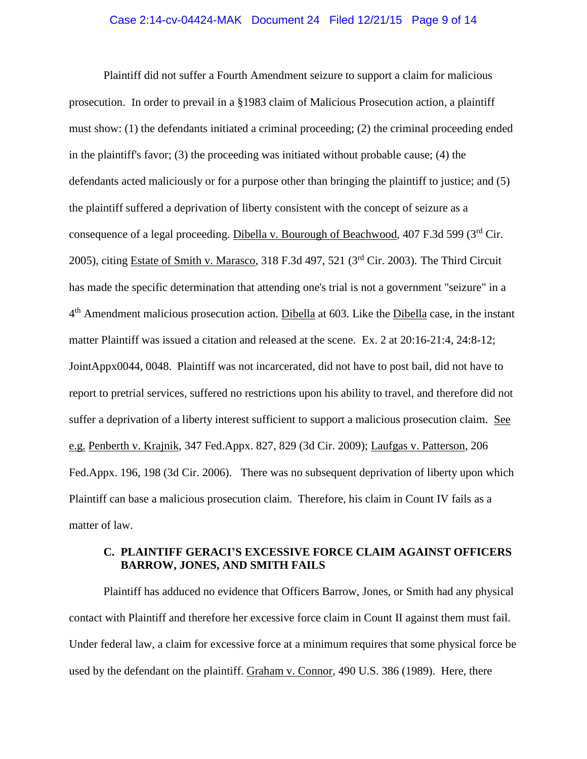#### Case 2:14-cv-04424-MAK Document 24 Filed 12/21/15 Page 9 of 14

Plaintiff did not suffer a Fourth Amendment seizure to support a claim for malicious prosecution. In order to prevail in a §1983 claim of Malicious Prosecution action, a plaintiff must show: (1) the defendants initiated a criminal proceeding; (2) the criminal proceeding ended in the plaintiff's favor; (3) the proceeding was initiated without probable cause; (4) the defendants acted maliciously or for a purpose other than bringing the plaintiff to justice; and (5) the plaintiff suffered a deprivation of liberty consistent with the concept of seizure as a consequence of a legal proceeding. Dibella v. Bourough of Beachwood, 407 F.3d 599 (3rd Cir. 2005), citing Estate of Smith v. Marasco, 318 F.3d 497, 521 (3rd Cir. 2003). The Third Circuit has made the specific determination that attending one's trial is not a government "seizure" in a 4<sup>th</sup> Amendment malicious prosecution action. Dibella at 603. Like the Dibella case, in the instant matter Plaintiff was issued a citation and released at the scene. Ex. 2 at 20:16-21:4, 24:8-12; JointAppx0044, 0048. Plaintiff was not incarcerated, did not have to post bail, did not have to report to pretrial services, suffered no restrictions upon his ability to travel, and therefore did not suffer a deprivation of a liberty interest sufficient to support a malicious prosecution claim. See e.g. Penberth v. Krajnik, 347 Fed.Appx. 827, 829 (3d Cir. 2009); Laufgas v. Patterson, 206 Fed.Appx. 196, 198 (3d Cir. 2006). There was no subsequent deprivation of liberty upon which Plaintiff can base a malicious prosecution claim. Therefore, his claim in Count IV fails as a matter of law.

### **C. PLAINTIFF GERACI'S EXCESSIVE FORCE CLAIM AGAINST OFFICERS BARROW, JONES, AND SMITH FAILS**

Plaintiff has adduced no evidence that Officers Barrow, Jones, or Smith had any physical contact with Plaintiff and therefore her excessive force claim in Count II against them must fail. Under federal law, a claim for excessive force at a minimum requires that some physical force be used by the defendant on the plaintiff. Graham v. Connor, 490 U.S. 386 (1989). Here, there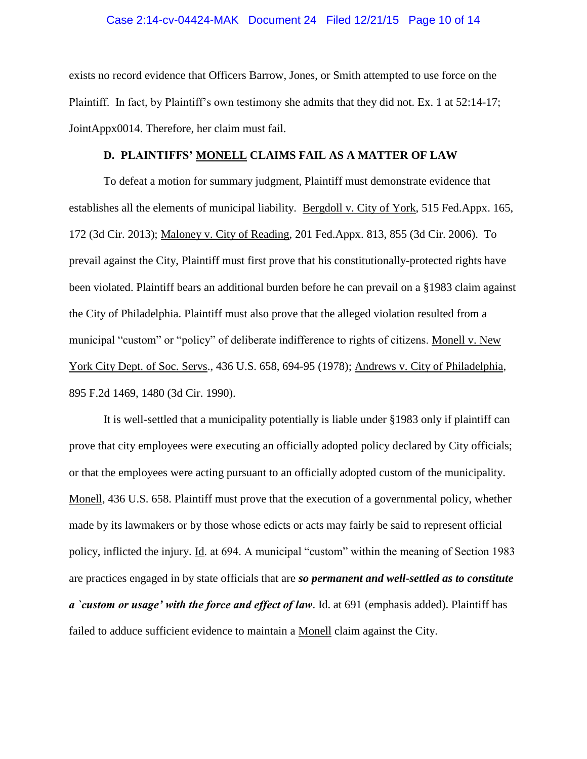#### Case 2:14-cv-04424-MAK Document 24 Filed 12/21/15 Page 10 of 14

exists no record evidence that Officers Barrow, Jones, or Smith attempted to use force on the Plaintiff. In fact, by Plaintiff's own testimony she admits that they did not. Ex. 1 at 52:14-17; JointAppx0014. Therefore, her claim must fail.

#### **D. PLAINTIFFS' MONELL CLAIMS FAIL AS A MATTER OF LAW**

To defeat a motion for summary judgment, Plaintiff must demonstrate evidence that establishes all the elements of municipal liability. Bergdoll v. City of York, 515 Fed.Appx. 165, 172 (3d Cir. 2013); Maloney v. City of Reading, 201 Fed.Appx. 813, 855 (3d Cir. 2006). To prevail against the City, Plaintiff must first prove that his constitutionally-protected rights have been violated. Plaintiff bears an additional burden before he can prevail on a §1983 claim against the City of Philadelphia. Plaintiff must also prove that the alleged violation resulted from a municipal "custom" or "policy" of deliberate indifference to rights of citizens. Monell v. New York City Dept. of Soc. Servs., 436 U.S. 658, 694-95 (1978); Andrews v. City of Philadelphia, 895 F.2d 1469, 1480 (3d Cir. 1990).

It is well-settled that a municipality potentially is liable under §1983 only if plaintiff can prove that city employees were executing an officially adopted policy declared by City officials; or that the employees were acting pursuant to an officially adopted custom of the municipality. Monell, 436 U.S. 658. Plaintiff must prove that the execution of a governmental policy, whether made by its lawmakers or by those whose edicts or acts may fairly be said to represent official policy, inflicted the injury. Id. at 694. A municipal "custom" within the meaning of Section 1983 are practices engaged in by state officials that are *so permanent and well-settled as to constitute a `custom or usage' with the force and effect of law*. Id. at 691 (emphasis added). Plaintiff has failed to adduce sufficient evidence to maintain a Monell claim against the City.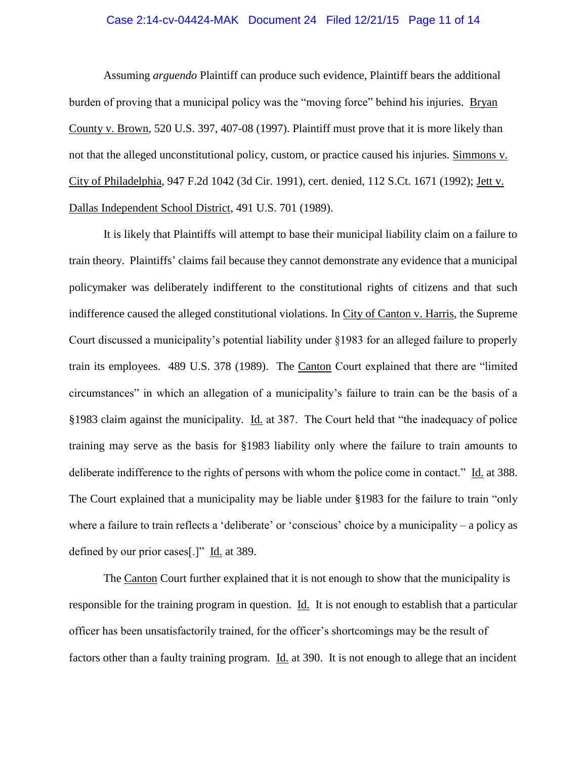#### Case 2:14-cv-04424-MAK Document 24 Filed 12/21/15 Page 11 of 14

Assuming *arguendo* Plaintiff can produce such evidence, Plaintiff bears the additional burden of proving that a municipal policy was the "moving force" behind his injuries. Bryan County v. Brown, 520 U.S. 397, 407-08 (1997). Plaintiff must prove that it is more likely than not that the alleged unconstitutional policy, custom, or practice caused his injuries. Simmons v. City of Philadelphia, 947 F.2d 1042 (3d Cir. 1991), cert. denied, 112 S.Ct. 1671 (1992); Jett v. Dallas Independent School District, 491 U.S. 701 (1989).

It is likely that Plaintiffs will attempt to base their municipal liability claim on a failure to train theory. Plaintiffs' claims fail because they cannot demonstrate any evidence that a municipal policymaker was deliberately indifferent to the constitutional rights of citizens and that such indifference caused the alleged constitutional violations. In City of Canton v. Harris, the Supreme Court discussed a municipality's potential liability under §1983 for an alleged failure to properly train its employees. 489 U.S. 378 (1989). The Canton Court explained that there are "limited circumstances" in which an allegation of a municipality's failure to train can be the basis of a §1983 claim against the municipality. Id. at 387. The Court held that "the inadequacy of police training may serve as the basis for §1983 liability only where the failure to train amounts to deliberate indifference to the rights of persons with whom the police come in contact." Id. at 388. The Court explained that a municipality may be liable under §1983 for the failure to train "only where a failure to train reflects a 'deliberate' or 'conscious' choice by a municipality – a policy as defined by our prior cases[.]" Id. at 389.

The Canton Court further explained that it is not enough to show that the municipality is responsible for the training program in question. Id. It is not enough to establish that a particular officer has been unsatisfactorily trained, for the officer's shortcomings may be the result of factors other than a faulty training program. Id. at 390. It is not enough to allege that an incident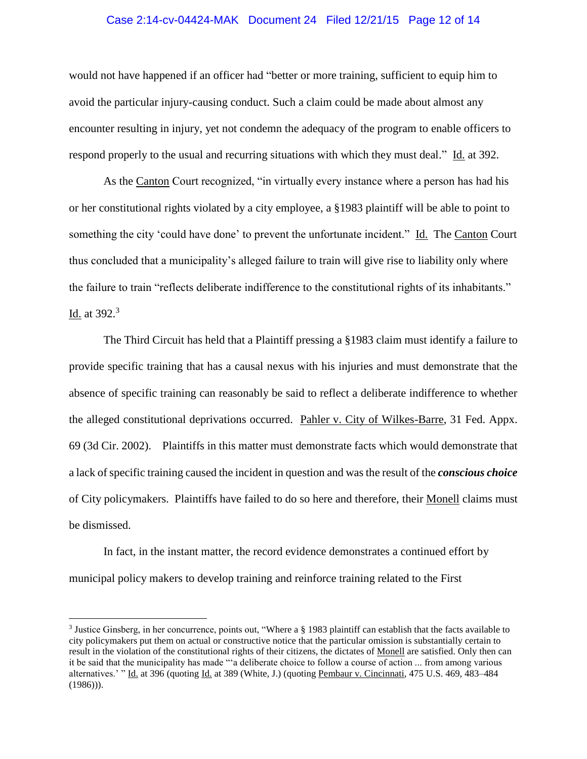#### Case 2:14-cv-04424-MAK Document 24 Filed 12/21/15 Page 12 of 14

would not have happened if an officer had "better or more training, sufficient to equip him to avoid the particular injury-causing conduct. Such a claim could be made about almost any encounter resulting in injury, yet not condemn the adequacy of the program to enable officers to respond properly to the usual and recurring situations with which they must deal." Id. at 392.

As the Canton Court recognized, "in virtually every instance where a person has had his or her constitutional rights violated by a city employee, a §1983 plaintiff will be able to point to something the city 'could have done' to prevent the unfortunate incident." Id. The Canton Court thus concluded that a municipality's alleged failure to train will give rise to liability only where the failure to train "reflects deliberate indifference to the constitutional rights of its inhabitants." <u>Id.</u> at 392.<sup>3</sup>

The Third Circuit has held that a Plaintiff pressing a §1983 claim must identify a failure to provide specific training that has a causal nexus with his injuries and must demonstrate that the absence of specific training can reasonably be said to reflect a deliberate indifference to whether the alleged constitutional deprivations occurred. Pahler v. City of Wilkes-Barre, 31 Fed. Appx. 69 (3d Cir. 2002). Plaintiffs in this matter must demonstrate facts which would demonstrate that a lack of specific training caused the incident in question and was the result of the *conscious choice* of City policymakers. Plaintiffs have failed to do so here and therefore, their Monell claims must be dismissed.

In fact, in the instant matter, the record evidence demonstrates a continued effort by municipal policy makers to develop training and reinforce training related to the First

 $\overline{a}$ 

<sup>3</sup> Justice Ginsberg, in her concurrence, points out, "Where a § 1983 plaintiff can establish that the facts available to city policymakers put them on actual or constructive notice that the particular omission is substantially certain to result in the violation of the constitutional rights of their citizens, the dictates of Monell are satisfied. Only then can it be said that the municipality has made "'a deliberate choice to follow a course of action ... from among various alternatives.' " Id. at 396 (quoting Id. at 389 (White, J.) (quoting Pembaur v. Cincinnati, 475 U.S. 469, 483–484  $(1986)$ ).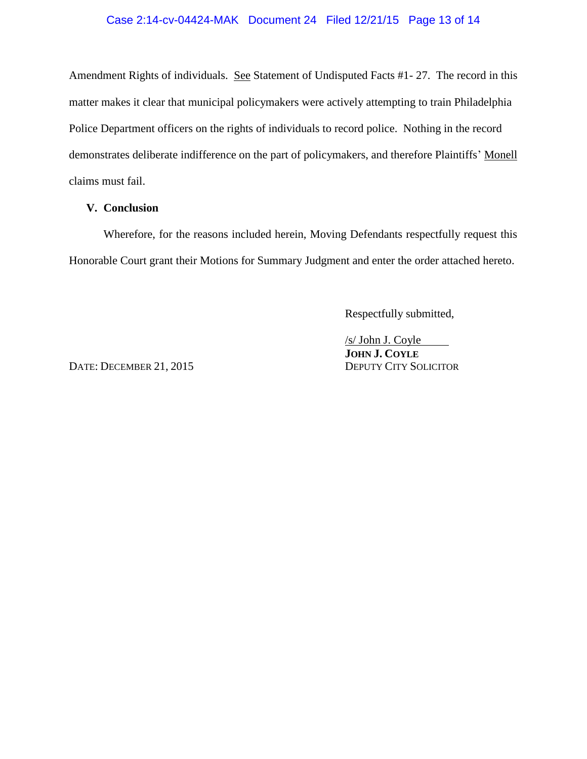# Case 2:14-cv-04424-MAK Document 24 Filed 12/21/15 Page 13 of 14

Amendment Rights of individuals. See Statement of Undisputed Facts #1- 27. The record in this matter makes it clear that municipal policymakers were actively attempting to train Philadelphia Police Department officers on the rights of individuals to record police. Nothing in the record demonstrates deliberate indifference on the part of policymakers, and therefore Plaintiffs' Monell claims must fail.

### **V. Conclusion**

Wherefore, for the reasons included herein, Moving Defendants respectfully request this Honorable Court grant their Motions for Summary Judgment and enter the order attached hereto.

Respectfully submitted,

DATE: DECEMBER 21, 2015 DEPUTY CITY SOLICITOR

/s/ John J. Coyle **JOHN J. COYLE**